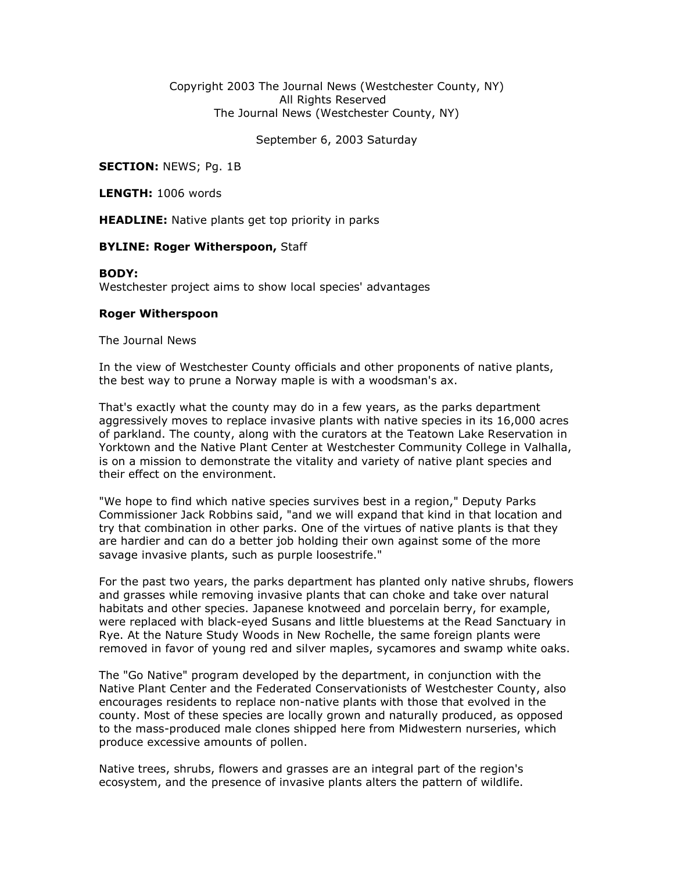### Copyright 2003 The Journal News (Westchester County, NY) All Rights Reserved The Journal News (Westchester County, NY)

September 6, 2003 Saturday

**SECTION: NEWS; Pg. 1B** 

LENGTH: 1006 words

**HEADLINE:** Native plants get top priority in parks

### **BYLINE: Roger Witherspoon, Staff**

#### BODY:

Westchester project aims to show local species' advantages

### Roger Witherspoon

The Journal News

In the view of Westchester County officials and other proponents of native plants, the best way to prune a Norway maple is with a woodsman's ax.

That's exactly what the county may do in a few years, as the parks department aggressively moves to replace invasive plants with native species in its 16,000 acres of parkland. The county, along with the curators at the Teatown Lake Reservation in Yorktown and the Native Plant Center at Westchester Community College in Valhalla, is on a mission to demonstrate the vitality and variety of native plant species and their effect on the environment.

"We hope to find which native species survives best in a region," Deputy Parks Commissioner Jack Robbins said, "and we will expand that kind in that location and try that combination in other parks. One of the virtues of native plants is that they are hardier and can do a better job holding their own against some of the more savage invasive plants, such as purple loosestrife."

For the past two years, the parks department has planted only native shrubs, flowers and grasses while removing invasive plants that can choke and take over natural habitats and other species. Japanese knotweed and porcelain berry, for example, were replaced with black-eyed Susans and little bluestems at the Read Sanctuary in Rye. At the Nature Study Woods in New Rochelle, the same foreign plants were removed in favor of young red and silver maples, sycamores and swamp white oaks.

The "Go Native" program developed by the department, in conjunction with the Native Plant Center and the Federated Conservationists of Westchester County, also encourages residents to replace non-native plants with those that evolved in the county. Most of these species are locally grown and naturally produced, as opposed to the mass-produced male clones shipped here from Midwestern nurseries, which produce excessive amounts of pollen.

Native trees, shrubs, flowers and grasses are an integral part of the region's ecosystem, and the presence of invasive plants alters the pattern of wildlife.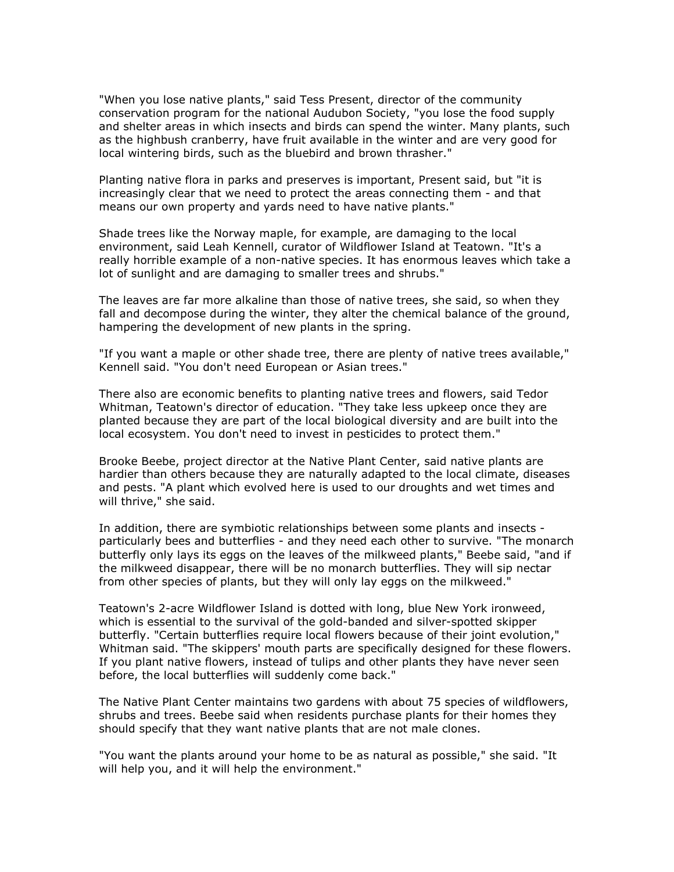"When you lose native plants," said Tess Present, director of the community conservation program for the national Audubon Society, "you lose the food supply and shelter areas in which insects and birds can spend the winter. Many plants, such as the highbush cranberry, have fruit available in the winter and are very good for local wintering birds, such as the bluebird and brown thrasher."

Planting native flora in parks and preserves is important, Present said, but "it is increasingly clear that we need to protect the areas connecting them - and that means our own property and yards need to have native plants."

Shade trees like the Norway maple, for example, are damaging to the local environment, said Leah Kennell, curator of Wildflower Island at Teatown. "It's a really horrible example of a non-native species. It has enormous leaves which take a lot of sunlight and are damaging to smaller trees and shrubs."

The leaves are far more alkaline than those of native trees, she said, so when they fall and decompose during the winter, they alter the chemical balance of the ground, hampering the development of new plants in the spring.

"If you want a maple or other shade tree, there are plenty of native trees available," Kennell said. "You don't need European or Asian trees."

There also are economic benefits to planting native trees and flowers, said Tedor Whitman, Teatown's director of education. "They take less upkeep once they are planted because they are part of the local biological diversity and are built into the local ecosystem. You don't need to invest in pesticides to protect them."

Brooke Beebe, project director at the Native Plant Center, said native plants are hardier than others because they are naturally adapted to the local climate, diseases and pests. "A plant which evolved here is used to our droughts and wet times and will thrive," she said.

In addition, there are symbiotic relationships between some plants and insects particularly bees and butterflies - and they need each other to survive. "The monarch butterfly only lays its eggs on the leaves of the milkweed plants," Beebe said, "and if the milkweed disappear, there will be no monarch butterflies. They will sip nectar from other species of plants, but they will only lay eggs on the milkweed."

Teatown's 2-acre Wildflower Island is dotted with long, blue New York ironweed, which is essential to the survival of the gold-banded and silver-spotted skipper butterfly. "Certain butterflies require local flowers because of their joint evolution," Whitman said. "The skippers' mouth parts are specifically designed for these flowers. If you plant native flowers, instead of tulips and other plants they have never seen before, the local butterflies will suddenly come back."

The Native Plant Center maintains two gardens with about 75 species of wildflowers, shrubs and trees. Beebe said when residents purchase plants for their homes they should specify that they want native plants that are not male clones.

"You want the plants around your home to be as natural as possible," she said. "It will help you, and it will help the environment."